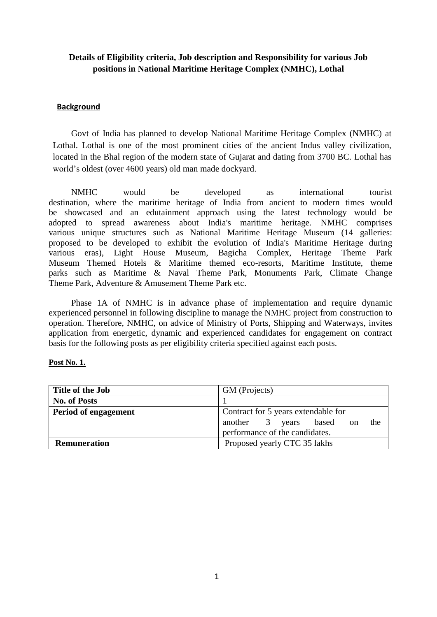# **Details of Eligibility criteria, Job description and Responsibility for various Job positions in National Maritime Heritage Complex (NMHC), Lothal**

#### **Background**

Govt of India has planned to develop National Maritime Heritage Complex (NMHC) at Lothal. Lothal is one of the most prominent cities of the ancient Indus valley civilization, located in the Bhal region of the modern state of Gujarat and dating from 3700 BC. Lothal has world's oldest (over 4600 years) old man made dockyard.

NMHC would be developed as international tourist destination, where the maritime heritage of India from ancient to modern times would be showcased and an edutainment approach using the latest technology would be adopted to spread awareness about India's maritime heritage. NMHC comprises various unique structures such as National Maritime Heritage Museum (14 galleries: proposed to be developed to exhibit the evolution of India's Maritime Heritage during various eras), Light House Museum, Bagicha Complex, Heritage Theme Park Museum Themed Hotels & Maritime themed eco-resorts, Maritime Institute, theme parks such as Maritime & Naval Theme Park, Monuments Park, Climate Change Theme Park, Adventure & Amusement Theme Park etc.

Phase 1A of NMHC is in advance phase of implementation and require dynamic experienced personnel in following discipline to manage the NMHC project from construction to operation. Therefore, NMHC, on advice of Ministry of Ports, Shipping and Waterways, invites application from energetic, dynamic and experienced candidates for engagement on contract basis for the following posts as per eligibility criteria specified against each posts.

#### **Post No. 1.**

| Title of the Job            | GM (Projects)                                                                                                          |
|-----------------------------|------------------------------------------------------------------------------------------------------------------------|
| <b>No. of Posts</b>         |                                                                                                                        |
| <b>Period of engagement</b> | Contract for 5 years extendable for<br>another 3 years based<br>the<br><sub>on</sub><br>performance of the candidates. |
| <b>Remuneration</b>         | Proposed yearly CTC 35 lakhs                                                                                           |
|                             |                                                                                                                        |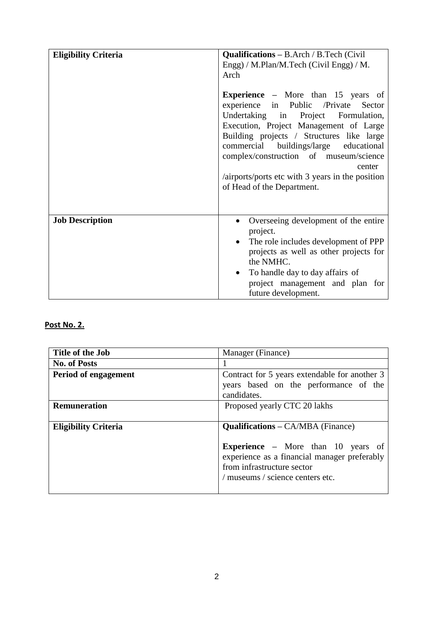| <b>Eligibility Criteria</b> | <b>Qualifications</b> $-$ B.Arch / B.Tech (Civil)<br>Engg) / M.Plan/M.Tech (Civil Engg) / M.<br>Arch<br><b>Experience</b> – More than 15 years of<br>experience in Public /Private Sector<br>Undertaking in Project Formulation,<br>Execution, Project Management of Large |
|-----------------------------|----------------------------------------------------------------------------------------------------------------------------------------------------------------------------------------------------------------------------------------------------------------------------|
|                             | Building projects / Structures like large<br>commercial buildings/large educational<br>complex/construction of museum/science<br>center<br>/airports/ports etc with 3 years in the position<br>of Head of the Department.                                                  |
| <b>Job Description</b>      | Overseeing development of the entire<br>project.<br>The role includes development of PPP<br>$\bullet$<br>projects as well as other projects for<br>the NMHC.<br>To handle day to day affairs of<br>project management and plan for<br>future development.                  |

# **Post No. 2.**

| Title of the Job            | Manager (Finance)                                                                                                       |
|-----------------------------|-------------------------------------------------------------------------------------------------------------------------|
| <b>No. of Posts</b>         |                                                                                                                         |
| Period of engagement        | Contract for 5 years extendable for another 3<br>years based on the performance of the<br>candidates.                   |
| <b>Remuneration</b>         | Proposed yearly CTC 20 lakhs                                                                                            |
| <b>Eligibility Criteria</b> | <b>Qualifications – CA/MBA (Finance)</b>                                                                                |
|                             | <b>Experience</b> – More than 10 years of<br>experience as a financial manager preferably<br>from infrastructure sector |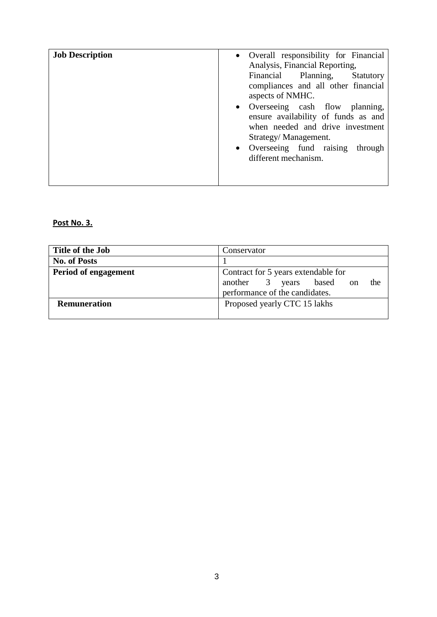| • Overall responsibility for Financial<br>Analysis, Financial Reporting,<br>Financial Planning,<br>Statutory<br>compliances and all other financial<br>aspects of NMHC.<br>• Overseeing cash flow planning,<br>ensure availability of funds as and<br>when needed and drive investment<br>Strategy/Management.<br>• Overseeing fund raising<br>through<br>different mechanism. |
|--------------------------------------------------------------------------------------------------------------------------------------------------------------------------------------------------------------------------------------------------------------------------------------------------------------------------------------------------------------------------------|
|                                                                                                                                                                                                                                                                                                                                                                                |

### **Post No. 3.**

| Title of the Job            | Conservator                                   |
|-----------------------------|-----------------------------------------------|
| <b>No. of Posts</b>         |                                               |
| <b>Period of engagement</b> | Contract for 5 years extendable for           |
|                             | another 3 years based<br>the<br><sub>on</sub> |
|                             | performance of the candidates.                |
| <b>Remuneration</b>         | Proposed yearly CTC 15 lakhs                  |
|                             |                                               |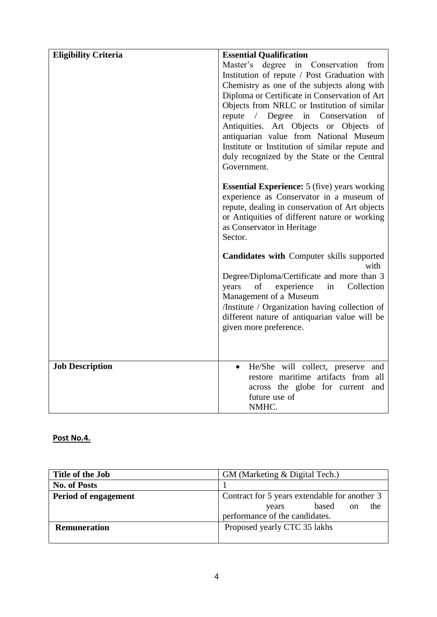| <b>Eligibility Criteria</b> | <b>Essential Qualification</b>                                                       |
|-----------------------------|--------------------------------------------------------------------------------------|
|                             | Master's degree in Conservation<br>from                                              |
|                             | Institution of repute / Post Graduation with                                         |
|                             | Chemistry as one of the subjects along with                                          |
|                             | Diploma or Certificate in Conservation of Art                                        |
|                             | Objects from NRLC or Institution of similar<br>repute / Degree in Conservation<br>of |
|                             | Antiquities. Art Objects or Objects<br>of                                            |
|                             | antiquarian value from National Museum                                               |
|                             | Institute or Institution of similar repute and                                       |
|                             | duly recognized by the State or the Central                                          |
|                             | Government.                                                                          |
|                             | <b>Essential Experience:</b> 5 (five) years working                                  |
|                             | experience as Conservator in a museum of                                             |
|                             | repute, dealing in conservation of Art objects                                       |
|                             | or Antiquities of different nature or working                                        |
|                             | as Conservator in Heritage<br>Sector.                                                |
|                             |                                                                                      |
|                             | <b>Candidates with Computer skills supported</b><br>with                             |
|                             | Degree/Diploma/Certificate and more than 3                                           |
|                             | of<br>experience<br>in<br>Collection<br>years                                        |
|                             | Management of a Museum<br>/Institute / Organization having collection of             |
|                             | different nature of antiquarian value will be                                        |
|                             | given more preference.                                                               |
|                             |                                                                                      |
|                             |                                                                                      |
| <b>Job Description</b>      | He/She will collect, preserve and                                                    |
|                             | restore maritime artifacts from all                                                  |
|                             | across the globe for current and<br>future use of                                    |
|                             | NMHC.                                                                                |

# **Post No.4.**

| Title of the Job     | GM (Marketing & Digital Tech.)                |
|----------------------|-----------------------------------------------|
| <b>No. of Posts</b>  |                                               |
| Period of engagement | Contract for 5 years extendable for another 3 |
|                      | the<br>based<br><sub>on</sub><br>years        |
|                      | performance of the candidates.                |
| <b>Remuneration</b>  | Proposed yearly CTC 35 lakhs                  |
|                      |                                               |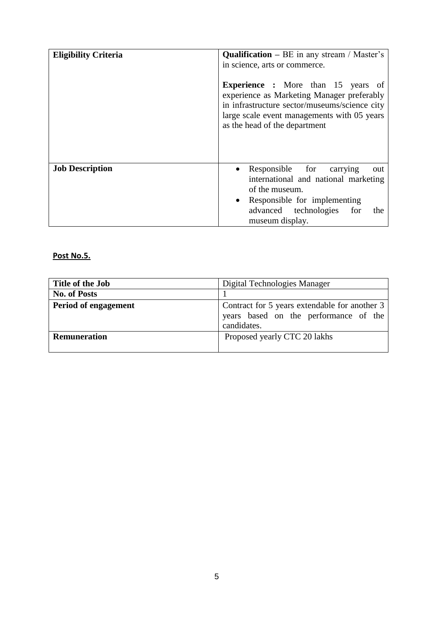| <b>Eligibility Criteria</b> | <b>Qualification</b> – BE in any stream / Master's<br>in science, arts or commerce.<br><b>Experience</b> : More than 15 years of<br>experience as Marketing Manager preferably<br>in infrastructure sector/museums/science city<br>large scale event managements with 05 years<br>as the head of the department |
|-----------------------------|-----------------------------------------------------------------------------------------------------------------------------------------------------------------------------------------------------------------------------------------------------------------------------------------------------------------|
| <b>Job Description</b>      | Responsible for carrying<br>out<br>international and national marketing<br>of the museum.<br>• Responsible for implementing<br>advanced technologies<br>for<br>the<br>museum display.                                                                                                                           |

# **Post No.5.**

| Title of the Job            | Digital Technologies Manager                                                                          |
|-----------------------------|-------------------------------------------------------------------------------------------------------|
| <b>No. of Posts</b>         |                                                                                                       |
| <b>Period of engagement</b> | Contract for 5 years extendable for another 3<br>years based on the performance of the<br>candidates. |
| <b>Remuneration</b>         | Proposed yearly CTC 20 lakhs                                                                          |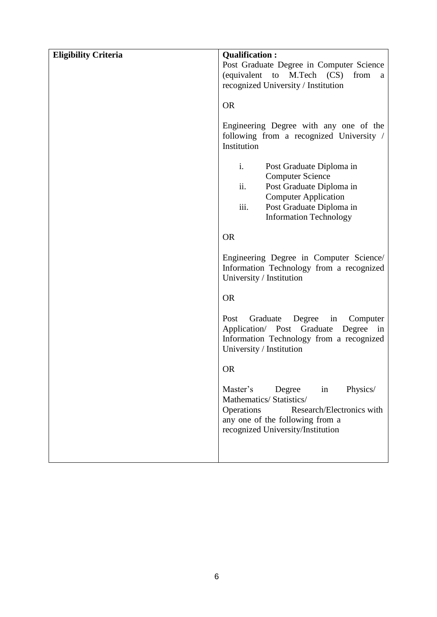| <b>Eligibility Criteria</b> | <b>Qualification:</b><br>Post Graduate Degree in Computer Science<br>(equivalent to M.Tech (CS)<br>from<br>a<br>recognized University / Institution<br><b>OR</b><br>Engineering Degree with any one of the<br>following from a recognized University /<br>Institution<br>i.<br>Post Graduate Diploma in |
|-----------------------------|---------------------------------------------------------------------------------------------------------------------------------------------------------------------------------------------------------------------------------------------------------------------------------------------------------|
|                             | <b>Computer Science</b><br>ii.<br>Post Graduate Diploma in<br><b>Computer Application</b><br>iii.<br>Post Graduate Diploma in<br><b>Information Technology</b>                                                                                                                                          |
|                             | <b>OR</b>                                                                                                                                                                                                                                                                                               |
|                             | Engineering Degree in Computer Science/<br>Information Technology from a recognized<br>University / Institution                                                                                                                                                                                         |
|                             | <b>OR</b>                                                                                                                                                                                                                                                                                               |
|                             | Graduate<br>Degree<br>in<br>Computer<br>Post<br>Application/ Post Graduate<br>Degree<br>$\sin$<br>Information Technology from a recognized<br>University / Institution                                                                                                                                  |
|                             | <b>OR</b>                                                                                                                                                                                                                                                                                               |
|                             | Master's<br>Degree<br>Physics/<br>in<br>Mathematics/ Statistics/<br>Operations<br>Research/Electronics with<br>any one of the following from a<br>recognized University/Institution                                                                                                                     |
|                             |                                                                                                                                                                                                                                                                                                         |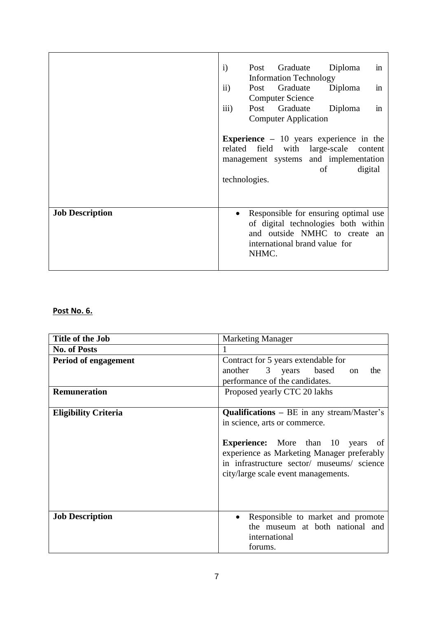|                        | Post Graduate<br>Diploma<br>$\mathbf{i}$<br>in                                                                                                                                |
|------------------------|-------------------------------------------------------------------------------------------------------------------------------------------------------------------------------|
|                        | <b>Information Technology</b>                                                                                                                                                 |
|                        | Graduate<br>$\mathbf{ii}$<br>Diploma<br>Post<br>in                                                                                                                            |
|                        | <b>Computer Science</b>                                                                                                                                                       |
|                        | iii)<br>in<br>Graduate<br>Diploma<br>Post                                                                                                                                     |
|                        | <b>Computer Application</b>                                                                                                                                                   |
|                        | <b>Experience</b> $-10$ years experience in the<br>field<br>with large-scale<br>related<br>content<br>management systems and implementation<br>digital<br>of<br>technologies. |
| <b>Job Description</b> | Responsible for ensuring optimal use<br>of digital technologies both within<br>and outside NMHC to create an<br>international brand value for<br>NHMC.                        |

# **Post No. 6.**

| <b>Marketing Manager</b>                                                                 |
|------------------------------------------------------------------------------------------|
|                                                                                          |
| Contract for 5 years extendable for                                                      |
| another 3 years based on<br>the                                                          |
| performance of the candidates.                                                           |
| Proposed yearly CTC 20 lakhs                                                             |
|                                                                                          |
| <b>Qualifications</b> $- BE$ in any stream/Master's                                      |
| in science, arts or commerce.                                                            |
|                                                                                          |
| <b>Experience:</b> More than 10 years of                                                 |
| experience as Marketing Manager preferably<br>in infrastructure sector/ museums/ science |
| city/large scale event managements.                                                      |
|                                                                                          |
|                                                                                          |
|                                                                                          |
| Responsible to market and promote                                                        |
| the museum at both national and                                                          |
| international                                                                            |
| forums.                                                                                  |
|                                                                                          |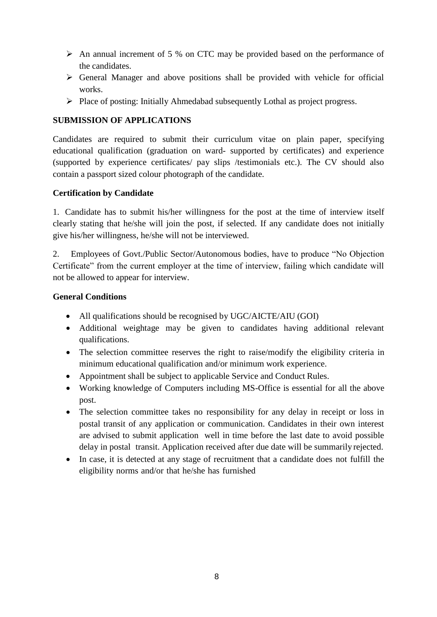- $\triangleright$  An annual increment of 5 % on CTC may be provided based on the performance of the candidates.
- $\triangleright$  General Manager and above positions shall be provided with vehicle for official works.
- $\triangleright$  Place of posting: Initially Ahmedabad subsequently Lothal as project progress.

### **SUBMISSION OF APPLICATIONS**

Candidates are required to submit their curriculum vitae on plain paper, specifying educational qualification (graduation on ward- supported by certificates) and experience (supported by experience certificates/ pay slips /testimonials etc.). The CV should also contain a passport sized colour photograph of the candidate.

### **Certification by Candidate**

1. Candidate has to submit his/her willingness for the post at the time of interview itself clearly stating that he/she will join the post, if selected. If any candidate does not initially give his/her willingness, he/she will not be interviewed.

2. Employees of Govt./Public Sector/Autonomous bodies, have to produce "No Objection Certificate" from the current employer at the time of interview, failing which candidate will not be allowed to appear for interview.

### **General Conditions**

- All qualifications should be recognised by UGC/AICTE/AIU (GOI)
- Additional weightage may be given to candidates having additional relevant qualifications.
- The selection committee reserves the right to raise/modify the eligibility criteria in minimum educational qualification and/or minimum work experience.
- Appointment shall be subject to applicable Service and Conduct Rules.
- Working knowledge of Computers including MS-Office is essential for all the above post.
- The selection committee takes no responsibility for any delay in receipt or loss in postal transit of any application or communication. Candidates in their own interest are advised to submit application well in time before the last date to avoid possible delay in postal transit. Application received after due date will be summarily rejected.
- In case, it is detected at any stage of recruitment that a candidate does not fulfill the eligibility norms and/or that he/she has furnished